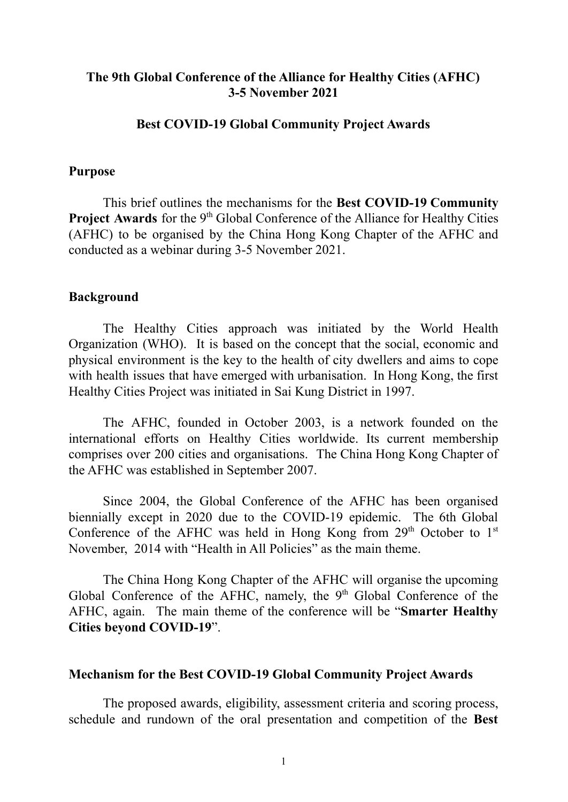## **The 9th Global Conference of the Alliance for Healthy Cities (AFHC) 3-5 November 2021**

### **Best COVID-19 Global Community Project Awards**

#### **Purpose**

This brief outlines the mechanisms for the **Best COVID-19 Community Project Awards** for the 9<sup>th</sup> Global Conference of the Alliance for Healthy Cities (AFHC) to be organised by the China Hong Kong Chapter of the AFHC and conducted as a webinar during 3-5 November 2021.

### **Background**

The Healthy Cities approach was initiated by the World Health Organization (WHO). It is based on the concept that the social, economic and physical environment is the key to the health of city dwellers and aims to cope with health issues that have emerged with urbanisation. In Hong Kong, the first Healthy Cities Project was initiated in Sai Kung District in 1997.

The AFHC, founded in October 2003, is a network founded on the international efforts on Healthy Cities worldwide. Its current membership comprises over 200 cities and organisations. The China Hong Kong Chapter of the AFHC was established in September 2007.

Since 2004, the Global Conference of the AFHC has been organised biennially except in 2020 due to the COVID-19 epidemic. The 6th Global Conference of the AFHC was held in Hong Kong from  $29<sup>th</sup>$  October to  $1<sup>st</sup>$ November, 2014 with "Health in All Policies" as the main theme.

The China Hong Kong Chapter of the AFHC will organise the upcoming Global Conference of the AFHC, namely, the 9<sup>th</sup> Global Conference of the AFHC, again. The main theme of the conference will be "**Smarter Healthy Cities beyond COVID-19**".

### **Mechanism for the Best COVID-19 Global Community Project Awards**

The proposed awards, eligibility, assessment criteria and scoring process, schedule and rundown of the oral presentation and competition of the **Best**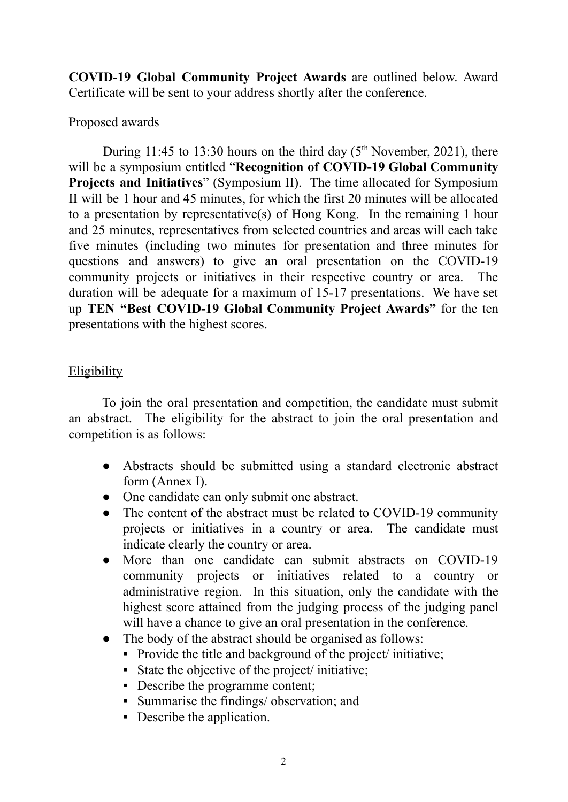**COVID-19 Global Community Project Awards** are outlined below. Award Certificate will be sent to your address shortly after the conference.

## Proposed awards

During 11:45 to 13:30 hours on the third day  $(5<sup>th</sup> November, 2021)$ , there will be a symposium entitled "**Recognition of COVID-19 Global Community Projects and Initiatives**" (Symposium II). The time allocated for Symposium II will be 1 hour and 45 minutes, for which the first 20 minutes will be allocated to a presentation by representative(s) of Hong Kong. In the remaining 1 hour and 25 minutes, representatives from selected countries and areas will each take five minutes (including two minutes for presentation and three minutes for questions and answers) to give an oral presentation on the COVID-19 community projects or initiatives in their respective country or area. The duration will be adequate for a maximum of 15-17 presentations. We have set up **TEN "Best COVID-19 Global Community Project Awards"** for the ten presentations with the highest scores.

# **Eligibility**

To join the oral presentation and competition, the candidate must submit an abstract. The eligibility for the abstract to join the oral presentation and competition is as follows:

- Abstracts should be submitted using a standard electronic abstract form (Annex I).
- One candidate can only submit one abstract.
- The content of the abstract must be related to COVID-19 community projects or initiatives in a country or area. The candidate must indicate clearly the country or area.
- More than one candidate can submit abstracts on COVID-19 community projects or initiatives related to a country or administrative region. In this situation, only the candidate with the highest score attained from the judging process of the judging panel will have a chance to give an oral presentation in the conference.
- The body of the abstract should be organised as follows:
	- Provide the title and background of the project/ initiative;
	- State the objective of the project/ initiative;
	- Describe the programme content;
	- Summarise the findings/ observation; and
	- Describe the application.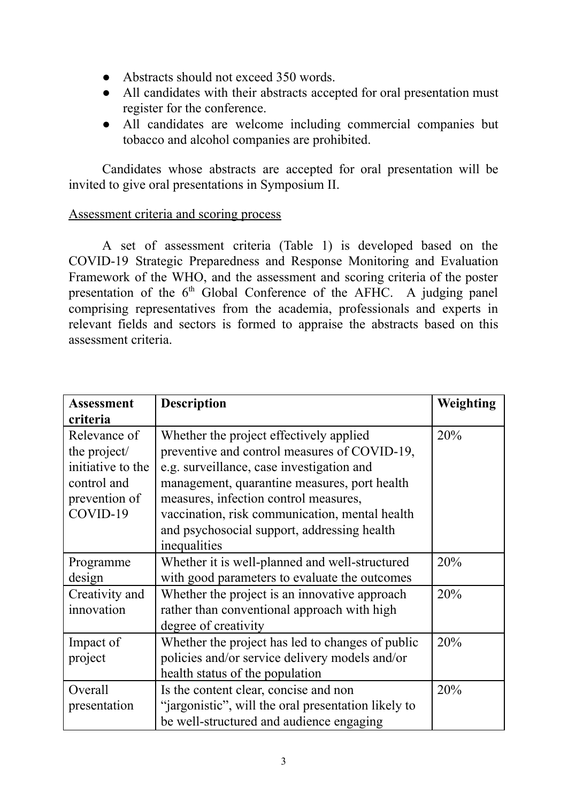- Abstracts should not exceed 350 words.
- All candidates with their abstracts accepted for oral presentation must register for the conference.
- All candidates are welcome including commercial companies but tobacco and alcohol companies are prohibited.

Candidates whose abstracts are accepted for oral presentation will be invited to give oral presentations in Symposium II.

## Assessment criteria and scoring process

A set of assessment criteria (Table 1) is developed based on the COVID-19 Strategic Preparedness and Response Monitoring and Evaluation Framework of the WHO, and the assessment and scoring criteria of the poster presentation of the  $6<sup>th</sup>$  Global Conference of the AFHC. A judging panel comprising representatives from the academia, professionals and experts in relevant fields and sectors is formed to appraise the abstracts based on this assessment criteria.

| <b>Assessment</b><br>criteria                                                                 | <b>Description</b>                                                                                                                                                                                                                                                                                                                             | Weighting |
|-----------------------------------------------------------------------------------------------|------------------------------------------------------------------------------------------------------------------------------------------------------------------------------------------------------------------------------------------------------------------------------------------------------------------------------------------------|-----------|
| Relevance of<br>the project/<br>initiative to the<br>control and<br>prevention of<br>COVID-19 | Whether the project effectively applied<br>preventive and control measures of COVID-19,<br>e.g. surveillance, case investigation and<br>management, quarantine measures, port health<br>measures, infection control measures,<br>vaccination, risk communication, mental health<br>and psychosocial support, addressing health<br>inequalities | 20%       |
| Programme<br>design                                                                           | Whether it is well-planned and well-structured<br>with good parameters to evaluate the outcomes                                                                                                                                                                                                                                                | 20%       |
| Creativity and<br>innovation                                                                  | Whether the project is an innovative approach<br>rather than conventional approach with high<br>degree of creativity                                                                                                                                                                                                                           | 20%       |
| Impact of<br>project                                                                          | Whether the project has led to changes of public<br>policies and/or service delivery models and/or<br>health status of the population                                                                                                                                                                                                          | 20%       |
| Overall<br>presentation                                                                       | Is the content clear, concise and non<br>"jargonistic", will the oral presentation likely to<br>be well-structured and audience engaging                                                                                                                                                                                                       | 20%       |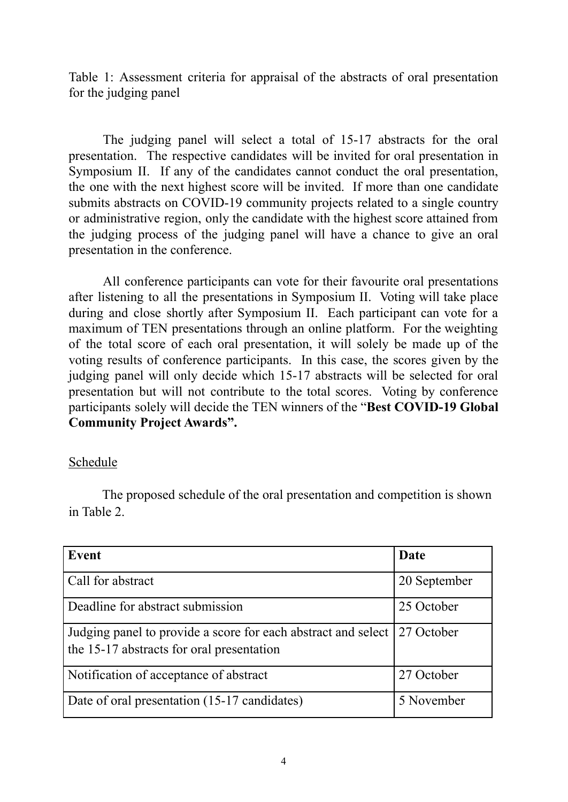Table 1: Assessment criteria for appraisal of the abstracts of oral presentation for the judging panel

The judging panel will select a total of 15-17 abstracts for the oral presentation. The respective candidates will be invited for oral presentation in Symposium II. If any of the candidates cannot conduct the oral presentation, the one with the next highest score will be invited. If more than one candidate submits abstracts on COVID-19 community projects related to a single country or administrative region, only the candidate with the highest score attained from the judging process of the judging panel will have a chance to give an oral presentation in the conference.

All conference participants can vote for their favourite oral presentations after listening to all the presentations in Symposium II. Voting will take place during and close shortly after Symposium II. Each participant can vote for a maximum of TEN presentations through an online platform. For the weighting of the total score of each oral presentation, it will solely be made up of the voting results of conference participants. In this case, the scores given by the judging panel will only decide which 15-17 abstracts will be selected for oral presentation but will not contribute to the total scores. Voting by conference participants solely will decide the TEN winners of the "**Best COVID-19 Global Community Project Awards".**

### Schedule

The proposed schedule of the oral presentation and competition is shown in Table 2.

| Event                                                                                                                   | Date         |
|-------------------------------------------------------------------------------------------------------------------------|--------------|
| Call for abstract                                                                                                       | 20 September |
| Deadline for abstract submission                                                                                        | 25 October   |
| Judging panel to provide a score for each abstract and select   27 October<br>the 15-17 abstracts for oral presentation |              |
| Notification of acceptance of abstract                                                                                  | 27 October   |
| Date of oral presentation (15-17 candidates)                                                                            | 5 November   |